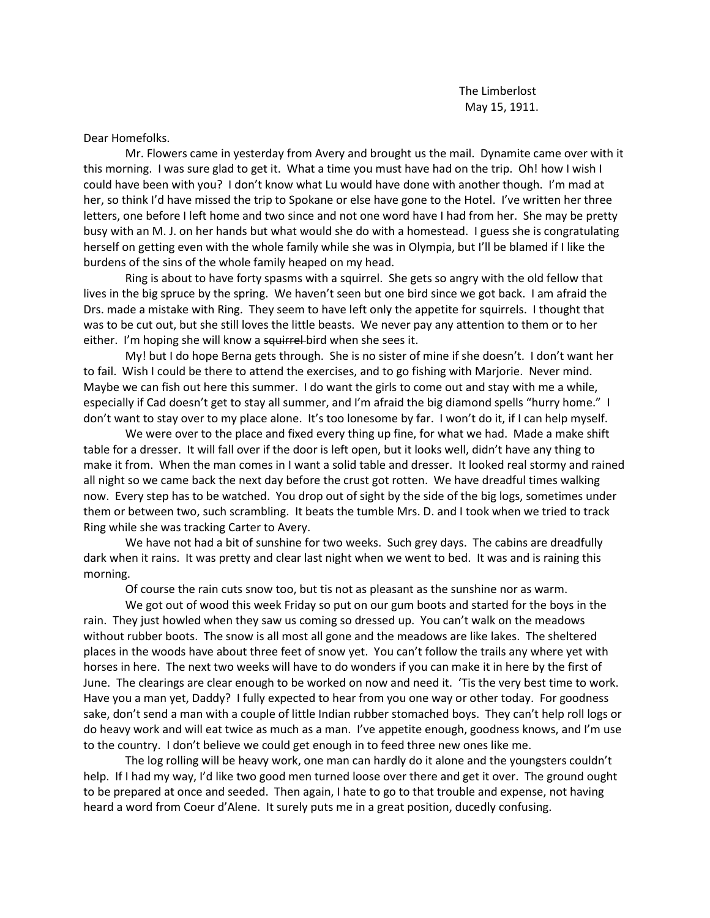The Limberlost May 15, 1911.

Dear Homefolks.

Mr. Flowers came in yesterday from Avery and brought us the mail. Dynamite came over with it this morning. I was sure glad to get it. What a time you must have had on the trip. Oh! how I wish I could have been with you? I don't know what Lu would have done with another though. I'm mad at her, so think I'd have missed the trip to Spokane or else have gone to the Hotel. I've written her three letters, one before I left home and two since and not one word have I had from her. She may be pretty busy with an M. J. on her hands but what would she do with a homestead. I guess she is congratulating herself on getting even with the whole family while she was in Olympia, but I'll be blamed if I like the burdens of the sins of the whole family heaped on my head.

Ring is about to have forty spasms with a squirrel. She gets so angry with the old fellow that lives in the big spruce by the spring. We haven't seen but one bird since we got back. I am afraid the Drs. made a mistake with Ring. They seem to have left only the appetite for squirrels. I thought that was to be cut out, but she still loves the little beasts. We never pay any attention to them or to her either. I'm hoping she will know a squirrel-bird when she sees it.

My! but I do hope Berna gets through. She is no sister of mine if she doesn't. I don't want her to fail. Wish I could be there to attend the exercises, and to go fishing with Marjorie. Never mind. Maybe we can fish out here this summer. I do want the girls to come out and stay with me a while, especially if Cad doesn't get to stay all summer, and I'm afraid the big diamond spells "hurry home." I don't want to stay over to my place alone. It's too lonesome by far. I won't do it, if I can help myself.

We were over to the place and fixed every thing up fine, for what we had. Made a make shift table for a dresser. It will fall over if the door is left open, but it looks well, didn't have any thing to make it from. When the man comes in I want a solid table and dresser. It looked real stormy and rained all night so we came back the next day before the crust got rotten. We have dreadful times walking now. Every step has to be watched. You drop out of sight by the side of the big logs, sometimes under them or between two, such scrambling. It beats the tumble Mrs. D. and I took when we tried to track Ring while she was tracking Carter to Avery.

We have not had a bit of sunshine for two weeks. Such grey days. The cabins are dreadfully dark when it rains. It was pretty and clear last night when we went to bed. It was and is raining this morning.

Of course the rain cuts snow too, but tis not as pleasant as the sunshine nor as warm.

We got out of wood this week Friday so put on our gum boots and started for the boys in the rain. They just howled when they saw us coming so dressed up. You can't walk on the meadows without rubber boots. The snow is all most all gone and the meadows are like lakes. The sheltered places in the woods have about three feet of snow yet. You can't follow the trails any where yet with horses in here. The next two weeks will have to do wonders if you can make it in here by the first of June. The clearings are clear enough to be worked on now and need it. 'Tis the very best time to work. Have you a man yet, Daddy? I fully expected to hear from you one way or other today. For goodness sake, don't send a man with a couple of little Indian rubber stomached boys. They can't help roll logs or do heavy work and will eat twice as much as a man. I've appetite enough, goodness knows, and I'm use to the country. I don't believe we could get enough in to feed three new ones like me.

The log rolling will be heavy work, one man can hardly do it alone and the youngsters couldn't help. If I had my way, I'd like two good men turned loose over there and get it over. The ground ought to be prepared at once and seeded. Then again, I hate to go to that trouble and expense, not having heard a word from Coeur d'Alene. It surely puts me in a great position, ducedly confusing.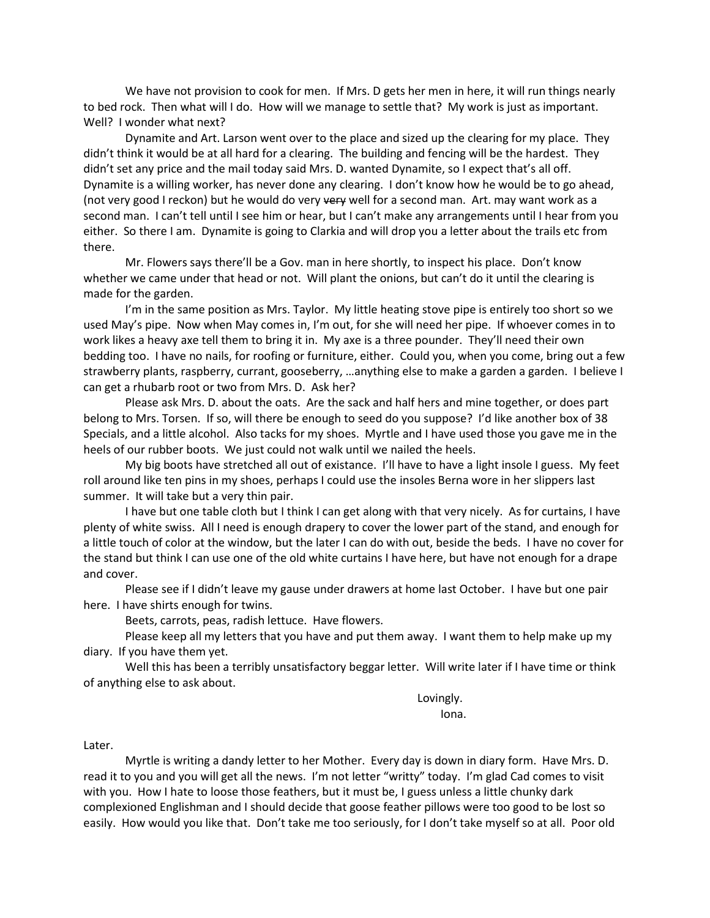We have not provision to cook for men. If Mrs. D gets her men in here, it will run things nearly to bed rock. Then what will I do. How will we manage to settle that? My work is just as important. Well? I wonder what next?

Dynamite and Art. Larson went over to the place and sized up the clearing for my place. They didn't think it would be at all hard for a clearing. The building and fencing will be the hardest. They didn't set any price and the mail today said Mrs. D. wanted Dynamite, so I expect that's all off. Dynamite is a willing worker, has never done any clearing. I don't know how he would be to go ahead, (not very good I reckon) but he would do very very well for a second man. Art. may want work as a second man. I can't tell until I see him or hear, but I can't make any arrangements until I hear from you either. So there I am. Dynamite is going to Clarkia and will drop you a letter about the trails etc from there.

Mr. Flowers says there'll be a Gov. man in here shortly, to inspect his place. Don't know whether we came under that head or not. Will plant the onions, but can't do it until the clearing is made for the garden.

I'm in the same position as Mrs. Taylor. My little heating stove pipe is entirely too short so we used May's pipe. Now when May comes in, I'm out, for she will need her pipe. If whoever comes in to work likes a heavy axe tell them to bring it in. My axe is a three pounder. They'll need their own bedding too. I have no nails, for roofing or furniture, either. Could you, when you come, bring out a few strawberry plants, raspberry, currant, gooseberry, …anything else to make a garden a garden. I believe I can get a rhubarb root or two from Mrs. D. Ask her?

Please ask Mrs. D. about the oats. Are the sack and half hers and mine together, or does part belong to Mrs. Torsen. If so, will there be enough to seed do you suppose? I'd like another box of 38 Specials, and a little alcohol. Also tacks for my shoes. Myrtle and I have used those you gave me in the heels of our rubber boots. We just could not walk until we nailed the heels.

My big boots have stretched all out of existance. I'll have to have a light insole I guess. My feet roll around like ten pins in my shoes, perhaps I could use the insoles Berna wore in her slippers last summer. It will take but a very thin pair.

I have but one table cloth but I think I can get along with that very nicely. As for curtains, I have plenty of white swiss. All I need is enough drapery to cover the lower part of the stand, and enough for a little touch of color at the window, but the later I can do with out, beside the beds. I have no cover for the stand but think I can use one of the old white curtains I have here, but have not enough for a drape and cover.

Please see if I didn't leave my gause under drawers at home last October. I have but one pair here. I have shirts enough for twins.

Beets, carrots, peas, radish lettuce. Have flowers.

Please keep all my letters that you have and put them away. I want them to help make up my diary. If you have them yet.

Well this has been a terribly unsatisfactory beggar letter. Will write later if I have time or think of anything else to ask about.

> Lovingly. Iona.

Later.

Myrtle is writing a dandy letter to her Mother. Every day is down in diary form. Have Mrs. D. read it to you and you will get all the news. I'm not letter "writty" today. I'm glad Cad comes to visit with you. How I hate to loose those feathers, but it must be, I guess unless a little chunky dark complexioned Englishman and I should decide that goose feather pillows were too good to be lost so easily. How would you like that. Don't take me too seriously, for I don't take myself so at all. Poor old